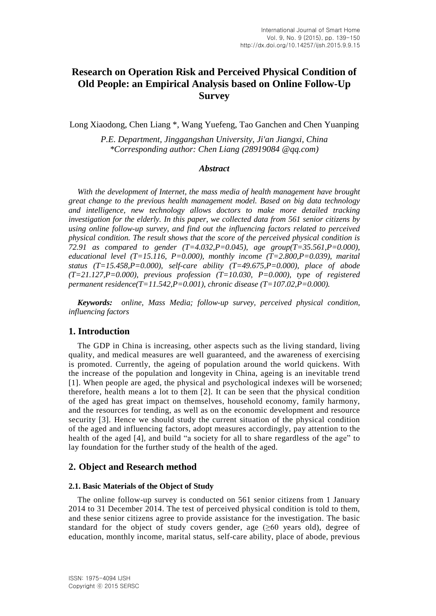# **Research on Operation Risk and Perceived Physical Condition of Old People: an Empirical Analysis based on Online Follow-Up Survey**

Long Xiaodong, Chen Liang \*, Wang Yuefeng, Tao Ganchen and Chen Yuanping

*P.E. Department, Jinggangshan University, Ji'an Jiangxi, China \*Corresponding author: Chen Liang (28919084 @qq.com)*

#### *Abstract*

*With the development of Internet, the mass media of health management have brought great change to the previous health management model. Based on big data technology and intelligence, new technology allows doctors to make more detailed tracking investigation for the elderly. In this paper, we collected data from 561 senior citizens by using online follow-up survey, and find out the influencing factors related to perceived physical condition. The result shows that the score of the perceived physical condition is 72.91 as compared to gender (T=4.032,P=0.045), age group(T=35.561,P=0.000), educational level (T=15.116, P=0.000), monthly income (T=2.800,P=0.039), marital status (T=15.458,P=0.000), self-care ability (T=49.675,P=0.000), place of abode (T=21.127,P=0.000), previous profession (T=10.030, P=0.000), type of registered permanent residence(T=11.542,P=0.001), chronic disease (T=107.02,P=0.000).*

*Keywords: online, Mass Media; follow-up survey, perceived physical condition, influencing factors*

### **1. Introduction**

The GDP in China is increasing, other aspects such as the living standard, living quality, and medical measures are well guaranteed, and the awareness of exercising is promoted. Currently, the ageing of population around the world quickens. With the increase of the population and longevity in China, ageing is an inevitable trend [1]. When people are aged, the physical and psychological indexes will be worsened; therefore, health means a lot to them [2]. It can be seen that the physical condition of the aged has great impact on themselves, household economy, family harmony, and the resources for tending, as well as on the economic development and resource security [3]. Hence we should study the current situation of the physical condition of the aged and influencing factors, adopt measures accordingly, pay attention to the health of the aged [4], and build "a society for all to share regardless of the age" to lay foundation for the further study of the health of the aged.

#### **2. Object and Research method**

#### **2.1. Basic Materials of the Object of Study**

The online follow-up survey is conducted on 561 senior citizens from 1 January 2014 to 31 December 2014. The test of perceived physical condition is told to them, and these senior citizens agree to provide assistance for the investigation. The basic standard for the object of study covers gender, age  $(\geq 60$  years old), degree of education, monthly income, marital status, self-care ability, place of abode, previous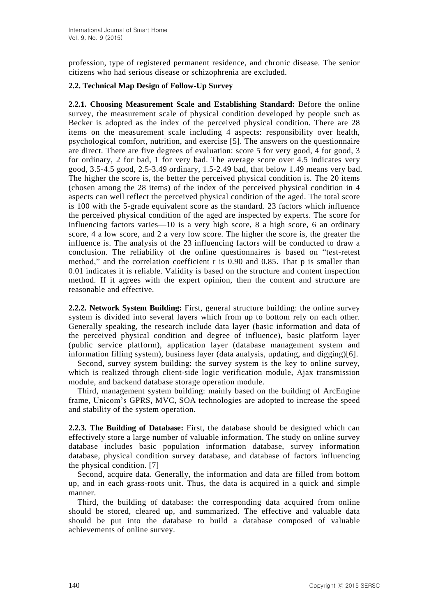profession, type of registered permanent residence, and chronic disease. The senior citizens who had serious disease or schizophrenia are excluded.

### **2.2. Technical Map Design of Follow-Up Survey**

**2.2.1. Choosing Measurement Scale and Establishing Standard:** Before the online survey, the measurement scale of physical condition developed by people such as Becker is adopted as the index of the perceived physical condition. There are 28 items on the measurement scale including 4 aspects: responsibility over health, psychological comfort, nutrition, and exercise [5]. The answers on the questionnaire are direct. There are five degrees of evaluation: score 5 for very good, 4 for good, 3 for ordinary, 2 for bad, 1 for very bad. The average score over 4.5 indicates very good, 3.5-4.5 good, 2.5-3.49 ordinary, 1.5-2.49 bad, that below 1.49 means very bad. The higher the score is, the better the perceived physical condition is. The 20 items (chosen among the 28 items) of the index of the perceived physical condition in 4 aspects can well reflect the perceived physical condition of the aged. The total score is 100 with the 5-grade equivalent score as the standard. 23 factors which influence the perceived physical condition of the aged are inspected by experts. The score for influencing factors varies—10 is a very high score, 8 a high score, 6 an ordinary score, 4 a low score, and 2 a very low score. The higher the score is, the greater the influence is. The analysis of the 23 influencing factors will be conducted to draw a conclusion. The reliability of the online questionnaires is based on "test-retest method," and the correlation coefficient r is 0.90 and 0.85. That p is smaller than 0.01 indicates it is reliable. Validity is based on the structure and content inspection method. If it agrees with the expert opinion, then the content and structure are reasonable and effective.

**2.2.2. Network System Building:** First, general structure building: the online survey system is divided into several layers which from up to bottom rely on each other. Generally speaking, the research include data layer (basic information and data of the perceived physical condition and degree of influence), basic platform layer (public service platform), application layer (database management system and information filling system), business layer (data analysis, updating, and digging)[6].

Second, survey system building: the survey system is the key to online survey, which is realized through client-side logic verification module, Ajax transmission module, and backend database storage operation module.

Third, management system building: mainly based on the building of ArcEngine frame, Unicom's GPRS, MVC, SOA technologies are adopted to increase the speed and stability of the system operation.

**2.2.3. The Building of Database:** First, the database should be designed which can effectively store a large number of valuable information. The study on online survey database includes basic population information database, survey information database, physical condition survey database, and database of factors influencing the physical condition. [7]

Second, acquire data. Generally, the information and data are filled from bottom up, and in each grass-roots unit. Thus, the data is acquired in a quick and simple manner.

Third, the building of database: the corresponding data acquired from online should be stored, cleared up, and summarized. The effective and valuable data should be put into the database to build a database composed of valuable achievements of online survey.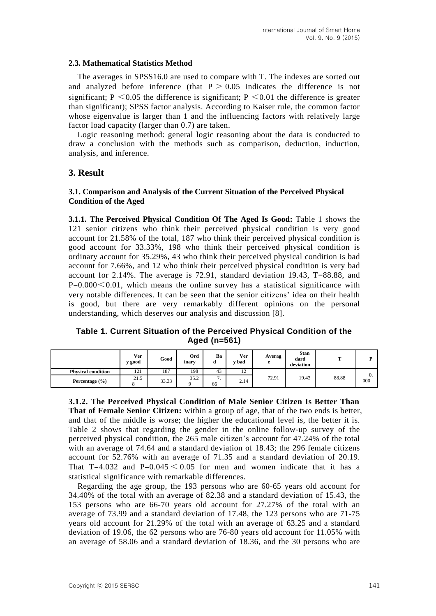#### **2.3. [Mathematical](http://dict.youdao.com/w/mathematical/) [Statistics](http://dict.youdao.com/w/statistics/) [Method](http://dict.youdao.com/w/method/)**

The averages in SPSS16.0 are used to compare with T. The indexes are sorted out and analyzed before inference (that  $P > 0.05$  indicates the difference is not significant;  $P \le 0.05$  the difference is significant;  $P \le 0.01$  the difference is greater than significant); SPSS factor analysis. According to Kaiser rule, the common factor whose [eigenvalue](http://dict.youdao.com/w/eigenvalue/) is larger than 1 and the influencing factors with relatively large factor load capacity (larger than 0.7) are taken.

Logic reasoning method: general logic reasoning about the data is conducted to draw a conclusion with the methods such as comparison, deduction, induction, analysis, and inference.

## **3. Result**

#### **3.1. Comparison and Analysis of the Current Situation of the Perceived Physical Condition of the Aged**

**3.1.1. The Perceived Physical Condition Of The Aged Is Good:** Table 1 shows the 121 senior citizens who think their perceived physical condition is very good account for 21.58% of the total, 187 who think their perceived physical condition is good account for 33.33%, 198 who think their perceived physical condition is ordinary account for 35.29%, 43 who think their perceived physical condition is bad account for 7.66%, and 12 who think their perceived physical condition is very bad account for 2.14%. The average is 72.91, [standard](http://dict.youdao.com/w/standard/) [deviation](http://dict.youdao.com/w/deviation/) 19.43, T=88.88, and  $P=0.000\leq 0.01$ , which means the online survey has a statistical significance with very notable differences. It can be seen that the senior citizens' idea on their health is good, but there are very remarkably different opinions on the personal understanding, which deserves our analysis and discussion [8].

### **Table 1. Current Situation of the Perceived Physical Condition of the Aged (n=561)**

|                           | Ver<br>v good | Good  | Ord<br>inary | Ba<br>a                     | Ver<br><b>bad</b>    | Averag<br>e | <b>Stan</b><br>dard<br>deviation | m     |           |
|---------------------------|---------------|-------|--------------|-----------------------------|----------------------|-------------|----------------------------------|-------|-----------|
| <b>Physical condition</b> | 121           | 187   | 198          | 43                          | 1 <sub>2</sub><br>12 |             | 19.43                            | 88.88 |           |
| Percentage $(\% )$        | 21.5          | 33.33 | 35.2         | $\overline{ }$<br>. .<br>66 | 2.14                 | 72.91       |                                  |       | v.<br>000 |

**3.1.2. The Perceived Physical Condition of Male Senior Citizen Is Better Than That of Female Senior Citizen:** within a group of age, that of the two ends is better, and that of the middle is worse; the higher the educational level is, the better it is. Table 2 shows that regarding the gender in the online follow-up survey of the perceived physical condition, the 265 male citizen's account for 47.24% of the total with an average of 74.64 and a standard deviation of 18.43; the 296 female citizens account for 52.76% with an average of 71.35 and a standard deviation of 20.19. That T=4.032 and P=0.045  $\leq$  0.05 for men and women indicate that it has a statistical significance with remarkable differences.

Regarding the age group, the 193 persons who are 60-65 years old account for 34.40% of the total with an average of 82.38 and a standard deviation of 15.43, the 153 persons who are 66-70 years old account for 27.27% of the total with an average of 73.99 and a standard deviation of 17.48, the 123 persons who are 71-75 years old account for 21.29% of the total with an average of 63.25 and a standard deviation of 19.06, the 62 persons who are 76-80 years old account for 11.05% with an average of 58.06 and a standard deviation of 18.36, and the 30 persons who are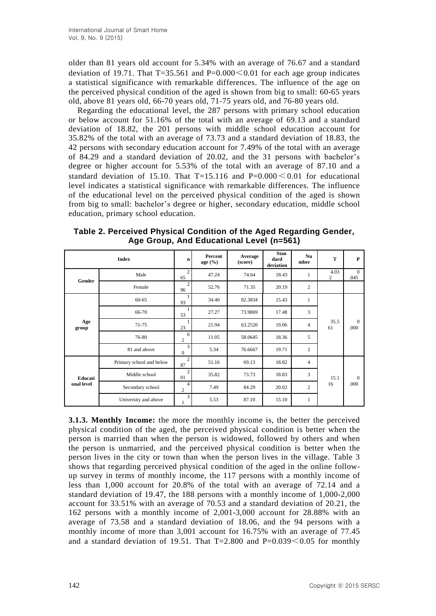older than 81 years old account for 5.34% with an average of 76.67 and a standard deviation of 19.71. That  $T=35.561$  and  $P=0.000<0.01$  for each age group indicates a statistical significance with remarkable differences. The influence of the age on the perceived physical condition of the aged is shown from big to small: 60-65 years old, above 81 years old, 66-70 years old, 71-75 years old, and 76-80 years old.

Regarding the educational level, the 287 persons with primary school education or below account for 51.16% of the total with an average of 69.13 and a standard deviation of 18.82, the 201 persons with middle school education account for 35.82% of the total with an average of 73.73 and a standard deviation of 18.83, the 42 persons with secondary education account for 7.49% of the total with an average of 84.29 and a standard deviation of 20.02, and the 31 persons with bachelor's degree or higher account for 5.53% of the total with an average of 87.10 and a standard deviation of 15.10. That  $T=15.116$  and  $P=0.000 \le 0.01$  for educational level indicates a statistical significance with remarkable differences. The influence of the educational level on the perceived physical condition of the aged is shown from big to small: bachelor's degree or higher, secondary education, middle school education, primary school education.

**Table 2. Perceived Physical Condition of the Aged Regarding Gender, Age Group, And Educational Level (n=561)**

|                       | <b>Index</b>             | $\mathbf n$          | Percent<br>age $(\% )$ | Average<br>(score) | <b>Stan</b><br>dard<br>deviation | Nu<br>mber     | T                      | $\mathbf P$            |
|-----------------------|--------------------------|----------------------|------------------------|--------------------|----------------------------------|----------------|------------------------|------------------------|
|                       | Male                     | $\overline{c}$<br>65 | 47.24                  | 74.64              | 18.43                            | 1              | 4.03<br>$\overline{c}$ | $\overline{0}$<br>.045 |
| Gender                | Female                   | $\overline{c}$<br>96 | 52.76                  | 71.35              | 20.19                            | $\overline{c}$ |                        |                        |
| Age<br>group          | $60 - 65$                | 93                   | 34.40                  | 82.3834            | 15.43                            | 1              |                        |                        |
|                       | 66-70                    | 53                   | 27.27                  | 73.9869            | 17.48                            | 3              |                        |                        |
|                       | 71-75                    | 23                   | 21.94                  | 63.2520            | 19.06                            | $\overline{4}$ | 35.5<br>61             | $\overline{0}$<br>.000 |
|                       | 76-80                    | 6<br>$\overline{c}$  | 11.05                  | 58.0645            | 18.36                            | 5              |                        |                        |
|                       | 81 and above             | 3<br>$\overline{0}$  | 5.34                   | 76.6667            | 19.71                            | $\overline{c}$ |                        |                        |
|                       | Primary school and below | $\overline{c}$<br>87 | 51.16                  | 69.13              | 18.82                            | $\overline{4}$ |                        |                        |
| Educati<br>onal level | Middle school            | $\overline{c}$<br>01 | 35.82                  | 73.73              | 18.83                            | 3              | 15.1                   | $\overline{0}$         |
|                       | Secondary school         | 4<br>$\overline{2}$  | 7.49                   | 84.29              | 20.02                            | $\overline{c}$ | 16                     | .000                   |
|                       | University and above     | 3<br>1               | 5.53                   | 87.10              | 15.10                            | 1              |                        |                        |

**3.1.3. Monthly Income:** the more the monthly income is, the better the perceived physical condition of the aged, the perceived physical condition is better when the person is married than when the person is widowed, followed by others and when the person is unmarried, and the perceived physical condition is better when the person lives in the city or town than when the person lives in the village. Table 3 shows that regarding perceived physical condition of the aged in the online followup survey in terms of monthly income, the 117 persons with a monthly income of less than 1,000 account for 20.8% of the total with an average of 72.14 and a standard deviation of 19.47, the 188 persons with a monthly income of 1,000-2,000 account for 33.51% with an average of 70.53 and a standard deviation of 20.21, the 162 persons with a monthly income of 2,001-3,000 account for 28.88% with an average of 73.58 and a standard deviation of 18.06, and the 94 persons with a monthly income of more than 3,001 account for 16.75% with an average of 77.45 and a standard deviation of 19.51. That  $T=2.800$  and  $P=0.039<0.05$  for monthly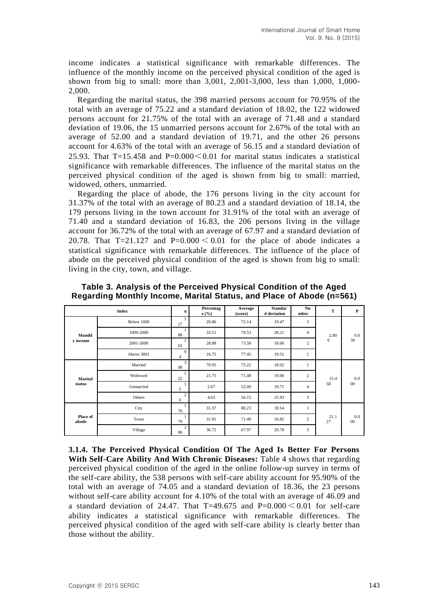income indicates a statistical significance with remarkable differences. The influence of the monthly income on the perceived physical condition of the aged is shown from big to small: more than 3,001, 2,001-3,000, less than 1,000, 1,000- 2,000.

Regarding the marital status, the 398 married persons account for 70.95% of the total with an average of 75.22 and a standard deviation of 18.02, the 122 widowed persons account for 21.75% of the total with an average of 71.48 and a standard deviation of 19.06, the 15 unmarried persons account for 2.67% of the total with an average of 52.00 and a standard deviation of 19.71, and the other 26 persons account for 4.63% of the total with an average of 56.15 and a standard deviation of 25.93. That T=15.458 and P=0.000 $< 0.01$  for marital status indicates a statistical significance with remarkable differences. The influence of the marital status on the perceived physical condition of the aged is shown from big to small: married, widowed, others, unmarried.

Regarding the place of abode, the 176 persons living in the city account for 31.37% of the total with an average of 80.23 and a standard deviation of 18.14, the 179 persons living in the town account for 31.91% of the total with an average of 71.40 and a standard deviation of 16.83, the 206 persons living in the village account for 36.72% of the total with an average of 67.97 and a standard deviation of 20.78. That T=21.127 and P=0.000  $\leq$  0.01 for the place of abode indicates a statistical significance with remarkable differences. The influence of the place of abode on the perceived physical condition of the aged is shown from big to small: living in the city, town, and village.

|                    | <b>Index</b> | n                    | Percentag<br>e(%) | Average<br>(score) | <b>Standar</b><br>d deviation | Nu<br>mber     | T            | P             |
|--------------------|--------------|----------------------|-------------------|--------------------|-------------------------------|----------------|--------------|---------------|
|                    | Below 1000   | 17                   | 20.86             | 72.14              | 19.47                         | 3              |              |               |
| Monthl<br>y income | 1000-2000    | 88                   | 33.51             | 70.53              | 20.21                         | $\overline{4}$ | 2.80         | 0.0           |
|                    | 2001-3000    | 62                   | 28.88             | 73.58              | 18.06                         | $\overline{c}$ | $\mathbf{0}$ | 39            |
|                    | Above 3001   | 9<br>4               | 16.75             | 77.45              | 19.51                         | 1              |              |               |
|                    | Married      | 3<br>98              | 70.95             | 75.22              | 18.02                         | 1              |              |               |
| Marital            | Widowed      | 22                   | 21.75             | 71.48              | 19.06                         | $\overline{c}$ | 15.4         | 0.0           |
| status             | Unmarried    | 5                    | 2.67              | 52.00              | 19.71                         | $\overline{4}$ | 58           | $00\,$        |
|                    | Others       | $\overline{c}$<br>6  | 4.63              | 56.15              | 25.93                         | 3              |              |               |
| Place of<br>abode  | City         | 76                   | 31.37             | 80.23              | 18.14                         | $\mathbf{1}$   |              |               |
|                    | Town         | 79                   | 31.91             | 71.40              | 16.82                         | $\overline{c}$ | 21.1<br>27   | 0.0<br>$00\,$ |
|                    | Village      | $\overline{c}$<br>06 | 36.72             | 67.97              | 20.78                         | 3              |              |               |

**Table 3. Analysis of the Perceived Physical Condition of the Aged Regarding Monthly Income, Marital Status, and Place of Abode (n=561)**

**3.1.4. The Perceived Physical Condition Of The Aged Is Better For Persons With Self-Care Ability And With Chronic Diseases:** Table 4 shows that regarding perceived physical condition of the aged in the online follow-up survey in terms of the self-care ability, the 538 persons with self-care ability account for 95.90% of the total with an average of 74.05 and a standard deviation of 18.36, the 23 persons without self-care ability account for 4.10% of the total with an average of 46.09 and a standard deviation of 24.47. That  $T=49.675$  and  $P=0.000 \le 0.01$  for self-care ability indicates a statistical significance with remarkable differences. The perceived physical condition of the aged with self-care ability is clearly better than those without the ability.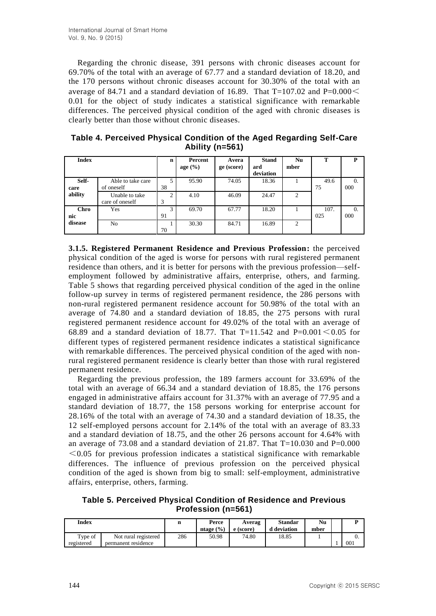Regarding the chronic disease, 391 persons with chronic diseases account for 69.70% of the total with an average of 67.77 and a standard deviation of 18.20, and the 170 persons without chronic diseases account for 30.30% of the total with an average of 84.71 and a standard deviation of 16.89. That T=107.02 and P=0.000 $<$ 0.01 for the object of study indicates a statistical significance with remarkable differences. The perceived physical condition of the aged with chronic diseases is clearly better than those without chronic diseases.

|  |                     |  | Table 4. Perceived Physical Condition of the Aged Regarding Self-Care |
|--|---------------------|--|-----------------------------------------------------------------------|
|  | Ability ( $n=561$ ) |  |                                                                       |

| <b>Index</b>  |                                   | $\mathbf n$         | Percent     | Avera      | <b>Stand</b>     | Nu             | т           | P                 |
|---------------|-----------------------------------|---------------------|-------------|------------|------------------|----------------|-------------|-------------------|
|               |                                   |                     | age $(\% )$ | ge (score) | ard<br>deviation | mber           |             |                   |
| Self-<br>care | Able to take care<br>of oneself   | 5<br>38             | 95.90       | 74.05      | 18.36            |                | 49.6<br>75  | $\Omega$ .<br>000 |
| ability       | Unable to take<br>care of oneself | $\overline{c}$<br>3 | 4.10        | 46.09      | 24.47            | 2              |             |                   |
| Chro<br>nic   | Yes                               | 3<br>91             | 69.70       | 67.77      | 18.20            |                | 107.<br>025 | 0.<br>000         |
| disease       | N <sub>0</sub>                    | 70                  | 30.30       | 84.71      | 16.89            | $\overline{c}$ |             |                   |

**3.1.5. Registered Permanent Residence and Previous Profession:** the perceived physical condition of the aged is worse for persons with rural registered permanent residence than others, and it is better for persons with the previous profession—selfemployment followed by administrative affairs, enterprise, others, and farming. Table 5 shows that regarding perceived physical condition of the aged in the online follow-up survey in terms of registered permanent residence, the 286 persons with non-rural registered permanent residence account for 50.98% of the total with an average of 74.80 and a standard deviation of 18.85, the 275 persons with rural registered permanent residence account for 49.02% of the total with an average of 68.89 and a standard deviation of 18.77. That T=11.542 and P=0.001  $\leq$  0.05 for different types of registered permanent residence indicates a statistical significance with remarkable differences. The perceived physical condition of the aged with nonrural registered permanent residence is clearly better than those with rural registered permanent residence.

Regarding the previous profession, the 189 farmers account for 33.69% of the total with an average of 66.34 and a standard deviation of 18.85, the 176 persons engaged in administrative affairs account for 31.37% with an average of 77.95 and a standard deviation of 18.77, the 158 persons working for enterprise account for 28.16% of the total with an average of 74.30 and a standard deviation of 18.35, the 12 self-employed persons account for 2.14% of the total with an average of 83.33 and a standard deviation of 18.75, and the other 26 persons account for 4.64% with an average of 73.08 and a standard deviation of 21.87. That  $T=10.030$  and  $P=0.000$  $\leq$ 0.05 for previous profession indicates a statistical significance with remarkable differences. The influence of previous profession on the perceived physical condition of the aged is shown from big to small: self-employment, administrative affairs, enterprise, others, farming.

**Table 5. Perceived Physical Condition of Residence and Previous Profession (n=561)**

| Index      |                      |     | Perce<br>ntage $(\% )$ | Averag<br>e (score) | <b>Standar</b><br>d deviation | Nu<br>mber | Ð   |
|------------|----------------------|-----|------------------------|---------------------|-------------------------------|------------|-----|
| Type of    | Not rural registered | 286 | 50.98                  | 74.80               | 18.85                         |            | 0.  |
| registered | permanent residence  |     |                        |                     |                               |            | 001 |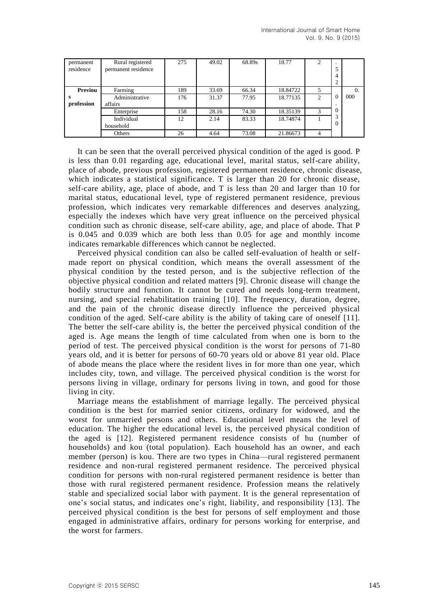| permanent<br>residence | Rural registered<br>permanent residence | 275 | 49.02 | 68.89s | 18.77    | ↑<br>∠ | ٠<br>5<br>4<br>$\overline{2}$ |          |
|------------------------|-----------------------------------------|-----|-------|--------|----------|--------|-------------------------------|----------|
| Previou                | Farming                                 | 189 | 33.69 | 66.34  | 18.84722 | 5      |                               | $\Omega$ |
| s<br>profession        | Administrative<br>affairs               | 176 | 31.37 | 77.95  | 18.77135 | 2      | $\theta$                      | 000      |
|                        | Enterprise                              | 158 | 28.16 | 74.30  | 18.35139 | 3      | $\Omega$                      |          |
|                        | Individual<br>household                 | 12  | 2.14  | 83.33  | 18.74874 |        | 3<br>$\Omega$                 |          |
|                        | Others                                  | 26  | 4.64  | 73.08  | 21.86673 | 4      |                               |          |

It can be seen that the overall perceived physical condition of the aged is good. P is less than 0.01 regarding age, educational level, marital status, self-care ability, place of abode, previous profession, registered permanent residence, chronic disease, which indicates a statistical significance. T is larger than 20 for chronic disease, self-care ability, age, place of abode, and T is less than 20 and larger than 10 for marital status, educational level, type of registered permanent residence, previous profession, which indicates very remarkable differences and deserves analyzing, especially the indexes which have very great influence on the perceived physical condition such as chronic disease, self-care ability, age, and place of abode. That P is 0.045 and 0.039 which are both less than 0.05 for age and monthly income indicates remarkable differences which cannot be neglected.

Perceived physical condition can also be called self-evaluation of health or selfmade report on physical condition, which means the overall assessment of the physical condition by the tested person, and is the subjective reflection of the objective physical condition and related matters [9]. Chronic disease will change the bodily structure and function. It cannot be cured and needs long-term treatment, nursing, and special rehabilitation training [10]. The frequency, duration, degree, and the pain of the chronic disease directly influence the perceived physical condition of the aged. Self-care ability is the ability of taking care of oneself [11]. The better the self-care ability is, the better the perceived physical condition of the aged is. Age means the length of time calculated from when one is born to the period of test. The perceived physical condition is the worst for persons of 71-80 years old, and it is better for persons of 60-70 years old or above 81 year old. Place of abode means the place where the resident lives in for more than one year, which includes city, town, and village. The perceived physical condition is the worst for persons living in village, ordinary for persons living in town, and good for those living in city.

Marriage means the establishment of marriage legally. The perceived physical condition is the best for married senior citizens, ordinary for widowed, and the worst for unmarried persons and others. Educational level means the level of education. The higher the educational level is, the perceived physical condition of the aged is [12]. Registered permanent residence consists of hu (number of households) and kou (total population). Each household has an owner, and each member (person) is kou. There are two types in China—rural registered permanent residence and non-rural registered permanent residence. The perceived physical condition for persons with non-rural registered permanent residence is better than those with rural registered permanent residence. Profession means the relatively stable and specialized social labor with payment. It is the general representation of one's social status, and indicates one's right, liability, and responsibility [13]. The perceived physical condition is the best for persons of self employment and those engaged in administrative affairs, ordinary for persons working for enterprise, and the worst for farmers.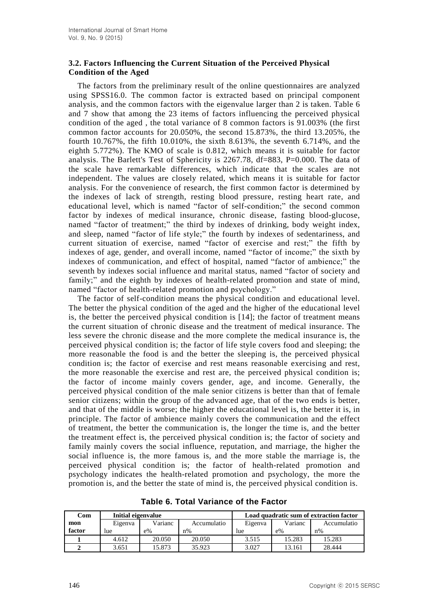## **3.2. Factors Influencing the Current Situation of the Perceived Physical Condition of the Aged**

The factors from the preliminary result of the online questionnaires are analyzed using SPSS16.0. The common factor is extracted based on principal component analysis, and the common factors with the eigenvalue larger than 2 is taken. Table 6 and 7 show that among the 23 items of factors influencing the perceived physical condition of the aged , the total variance of 8 common factors is 91.003% (the first common factor accounts for 20.050%, the second 15.873%, the third 13.205%, the fourth 10.767%, the fifth 10.010%, the sixth 8.613%, the seventh 6.714%, and the eighth 5.772%). The KMO of scale is 0.812, which means it is suitable for factor analysis. The Barlett's Test of Sphericity is 2267.78, df=883, P=0.000. The data of the scale have remarkable differences, which indicate that the scales are not independent. The values are closely related, which means it is suitable for factor analysis. For the convenience of research, the first common factor is determined by the indexes of lack of strength, resting blood pressure, resting heart rate, and educational level, which is named "factor of self-condition;" the second common factor by indexes of medical insurance, chronic disease, fasting blood-glucose, named "factor of treatment;" the third by indexes of drinking, body weight index, and sleep, named "factor of life style;" the fourth by indexes of sedentariness, and current situation of exercise, named "factor of exercise and rest;" the fifth by indexes of age, gender, and overall income, named "factor of income;" the sixth by indexes of communication, and effect of hospital, named "factor of ambience;" the seventh by indexes social influence and marital status, named "factor of society and family;" and the eighth by indexes of health-related promotion and state of mind, named "factor of health-related promotion and psychology."

The factor of self-condition means the physical condition and educational level. The better the physical condition of the aged and the higher of the educational level is, the better the perceived physical condition is [14]; the factor of treatment means the current situation of chronic disease and the treatment of medical insurance. The less severe the chronic disease and the more complete the medical insurance is, the perceived physical condition is; the factor of life style covers food and sleeping; the more reasonable the food is and the better the sleeping is, the perceived physical condition is; the factor of exercise and rest means reasonable exercising and rest, the more reasonable the exercise and rest are, the perceived physical condition is; the factor of income mainly covers gender, age, and income. Generally, the perceived physical condition of the male senior citizens is better than that of female senior citizens; within the group of the advanced age, that of the two ends is better, and that of the middle is worse; the higher the educational level is, the better it is, in principle. The factor of ambience mainly covers the communication and the effect of treatment, the better the communication is, the longer the time is, and the better the treatment effect is, the perceived physical condition is; the factor of society and family mainly covers the social influence, reputation, and marriage, the higher the social influence is, the more famous is, and the more stable the marriage is, the perceived physical condition is; the factor of health-related promotion and psychology indicates the health-related promotion and psychology, the more the promotion is, and the better the state of mind is, the perceived physical condition is.

| Com    | Initial eigenvalue |        |             | Load quadratic sum of extraction factor |         |             |  |  |
|--------|--------------------|--------|-------------|-----------------------------------------|---------|-------------|--|--|
| mon    | Varianc<br>Eigenva |        | Accumulatio | Eigenva                                 | Varianc | Accumulatio |  |  |
| factor | lue                | $e\%$  | $n\%$       | lue                                     | $e\%$   | $n\%$       |  |  |
|        | 4.612              | 20.050 | 20.050      | 3.515                                   | 15.283  | 15.283      |  |  |
|        | 3.651              | 5.873  | 35.923      | 3.027                                   | 13.161  | 28.444      |  |  |

**Table 6. Total Variance of the Factor**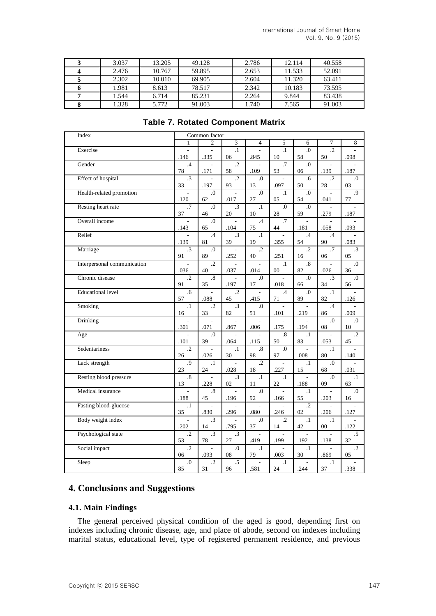| 3.037 | 13.205 | 49.128 | 2.786 | 12.114 | 40.558 |
|-------|--------|--------|-------|--------|--------|
| 2.476 | 10.767 | 59.895 | 2.653 | 11.533 | 52.091 |
| 2.302 | 10.010 | 69.905 | 2.604 | 11.320 | 63.411 |
| 1.981 | 8.613  | 78.517 | 2.342 | 10.183 | 73.595 |
| 1.544 | 6.714  | 85.231 | 2.264 | 9.844  | 83.438 |
| 1.328 | 5.772  | 91.003 | 1.740 | 7.565  | 91.003 |

| Index                       |                                  | Common factor           |                       |                        |                         |                                  |                                  |                                  |
|-----------------------------|----------------------------------|-------------------------|-----------------------|------------------------|-------------------------|----------------------------------|----------------------------------|----------------------------------|
|                             | $\mathbf{1}$                     | $\overline{c}$          | 3                     | $\overline{4}$         | 5                       | 6                                | $\tau$                           | 8                                |
| Exercise                    | .146                             | .335                    | $\overline{1}$<br>06  | .845                   | $\overline{1}$<br>10    | $\Omega$ .<br>58                 | $\overline{.2}$<br>50            | .098                             |
| Gender                      | $\cdot$ 4<br>78                  | .171                    | $\overline{.2}$<br>58 | .109                   | $\overline{.7}$<br>53   | $\overline{0}$<br>06             | .139                             | .187                             |
| <b>Effect</b> of hospital   | $\overline{3}$<br>33             | .197                    | $\cdot$<br>93         | $\overline{0}$ .<br>13 | $\overline{a}$<br>.097  | .6<br>50                         | $\cdot$<br>28                    | $\Omega$ .<br>03                 |
| Health-related promotion    | .120                             | $\overline{0}$ .<br>62  | .017                  | $\cdot$<br>27          | $\cdot$ 1<br>05         | $\boldsymbol{0}$<br>54           | .041                             | $\overline{.9}$<br>77            |
| Resting heart rate          | .7<br>37                         | $\overline{0}$ .<br>46  | $\cdot$ 3<br>$20\,$   | $\cdot$ 1<br>10        | $\overline{0}$ .<br>28  | $\overline{0}$ .<br>59           | .279                             | .187                             |
| Overall income              | .143                             | $\Omega$ .<br>65        | .104                  | .4<br>75               | .7<br>44                | .181                             | ٠<br>.058                        | .093                             |
| Relief                      | $\overline{\phantom{a}}$<br>.139 | $.4\phantom{0}$<br>81   | $\cdot$ 3<br>39       | $\cdot$ 1<br>19        | $\frac{1}{2}$<br>.355   | $.4\phantom{0}$<br>54            | .4<br>90                         | $\overline{\phantom{a}}$<br>.083 |
| Marriage                    | $\cdot$ 3<br>91                  | $\overline{0}$ .<br>89  | .252                  | $\cdot$ .2<br>40       | .251                    | $\cdot$ .2<br>16                 | .7<br>06                         | $\cdot$ 3<br>05                  |
| Interpersonal communication | .036                             | $\cdot$ .2<br>40        | .037                  | .014                   | $\cdot$ 1<br>$00\,$     | $\boldsymbol{.8}$<br>82          | .026                             | $\boldsymbol{0}$<br>36           |
| Chronic disease             | $\cdot$ .2<br>91                 | $\boldsymbol{.8}$<br>35 | .197                  | $\cdot$<br>17          | .018                    | $\overline{0}$ .<br>66           | $\cdot$ 3<br>34                  | $\Omega$ .<br>56                 |
| <b>Educational level</b>    | .6<br>57                         | .088                    | $\cdot$<br>45         | .415                   | .4<br>71                | $\Omega$ .<br>89                 | $\cdot$ 1<br>82                  | ÷<br>.126                        |
| Smoking                     | $\cdot$ 1<br>16                  | $\cdot$ .2<br>33        | $\overline{.3}$<br>82 | $\cdot$<br>51          | .101                    | .219                             | .4<br>86                         | .009                             |
| Drinking                    | .301                             | .071                    | .867                  | .006                   | .175                    | .194                             | $\Omega$<br>08                   | $\Omega$ .<br>10                 |
| Age                         | .101                             | $\Omega$ .<br>39        | .064                  | .115                   | $\boldsymbol{.8}$<br>50 | $\cdot$ 1<br>83                  | $\overline{\phantom{a}}$<br>.053 | $\cdot$<br>45                    |
| Sedentariness               | $\cdot$ .2<br>26                 | ÷.<br>.026              | $\cdot$ 1<br>30       | $\cdot^8$<br>98        | $\boldsymbol{0}$<br>97  | $\overline{\phantom{a}}$<br>.008 | $\cdot$ 1<br>80                  | .140                             |
| Lack strength               | .9<br>23                         | $\cdot$ 1<br>24         | .028                  | $\cdot$ .2<br>18       | .227                    | $\cdot$ 1<br>15                  | $\cdot$<br>68                    | .031                             |
| Resting blood pressure      | $\cdot^8$<br>13                  | .228                    | $\overline{.3}$<br>02 | $\cdot$ 1<br>11        | $\cdot$ 1<br>$22\,$     | .188                             | $\Omega$ .<br>09                 | $\cdot$ 1<br>63                  |
| Medical insurance           | .188                             | $\boldsymbol{.8}$<br>45 | .196                  | $\cdot$<br>92          | .166                    | $\cdot$ 1<br>55                  | .203                             | $\boldsymbol{0}$<br>16           |
| Fasting blood-glucose       | $\cdot$ 1<br>35                  | ÷.<br>.830              | .296                  | $\overline{a}$<br>.080 | ÷.<br>.246              | $\cdot$ .2<br>02                 | ÷,<br>.206                       | .127                             |
| Body weight index           | .202                             | $\cdot$ 3<br>14         | .795                  | $\Omega$<br>37         | $\cdot$<br>14           | $\cdot$ 1<br>42                  | $\cdot$ 1<br>00                  | .122                             |
| Psychological state         | $\cdot$<br>53                    | $\cdot$ 3<br>78         | $\cdot$ 3<br>27       | .419                   | .199                    | $\overline{\phantom{a}}$<br>.192 | .138                             | .5<br>32                         |
| Social impact               | $\overline{.2}$<br>06            | .093                    | $\overline{0}$<br>08  | $\cdot$ 1<br>79        | .003                    | $\cdot$ 1<br>30                  | .869                             | $\overline{.2}$<br>05            |
| Sleep                       | $\cdot$<br>85                    | $\cdot$<br>31           | $.5\,$<br>96          | $\overline{a}$<br>.581 | $\cdot$ 1<br>24         | $\overline{\phantom{a}}$<br>.244 | $\cdot$ 1<br>37                  | .338                             |

## **Table 7. Rotated Component Matrix**

# **4. Conclusions and Suggestions**

#### **4.1. Main Findings**

The general perceived physical condition of the aged is good, depending first on indexes including chronic disease, age, and place of abode, second on indexes including marital status, educational level, type of registered permanent residence, and previous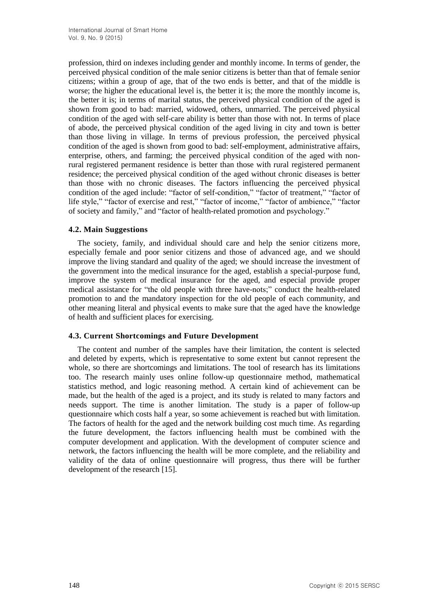profession, third on indexes including gender and monthly income. In terms of gender, the perceived physical condition of the male senior citizens is better than that of female senior citizens; within a group of age, that of the two ends is better, and that of the middle is worse; the higher the educational level is, the better it is; the more the monthly income is, the better it is; in terms of marital status, the perceived physical condition of the aged is shown from good to bad: married, widowed, others, unmarried. The perceived physical condition of the aged with self-care ability is better than those with not. In terms of place of abode, the perceived physical condition of the aged living in city and town is better than those living in village. In terms of previous profession, the perceived physical condition of the aged is shown from good to bad: self-employment, administrative affairs, enterprise, others, and farming; the perceived physical condition of the aged with nonrural registered permanent residence is better than those with rural registered permanent residence; the perceived physical condition of the aged without chronic diseases is better than those with no chronic diseases. The factors influencing the perceived physical condition of the aged include: "factor of self-condition," "factor of treatment," "factor of life style," "factor of exercise and rest," "factor of income," "factor of ambience," "factor of society and family," and "factor of health-related promotion and psychology."

#### **4.2. Main Suggestions**

The society, family, and individual should care and help the senior citizens more, especially female and poor senior citizens and those of advanced age, and we should improve the living standard and quality of the aged; we should increase the investment of the government into the medical insurance for the aged, establish a special-purpose fund, improve the system of medical insurance for the aged, and especial provide proper medical assistance for "the old people with three have-nots;" conduct the health-related promotion to and the mandatory inspection for the old people of each community, and other meaning literal and physical events to make sure that the aged have the knowledge of health and sufficient places for exercising.

#### **4.3. Current Shortcomings and Future Development**

The content and number of the samples have their limitation, the content is selected and deleted by experts, which is representative to some extent but cannot represent the whole, so there are shortcomings and limitations. The tool of research has its limitations too. The research mainly uses online follow-up questionnaire method, mathematical statistics method, and logic reasoning method. A certain kind of achievement can be made, but the health of the aged is a project, and its study is related to many factors and needs support. The time is another limitation. The study is a paper of follow-up questionnaire which costs half a year, so some achievement is reached but with limitation. The factors of health for the aged and the network building cost much time. As regarding the future development, the factors influencing health must be combined with the computer development and application. With the development of computer science and network, the factors influencing the health will be more complete, and the reliability and validity of the data of online questionnaire will progress, thus there will be further development of the research [15].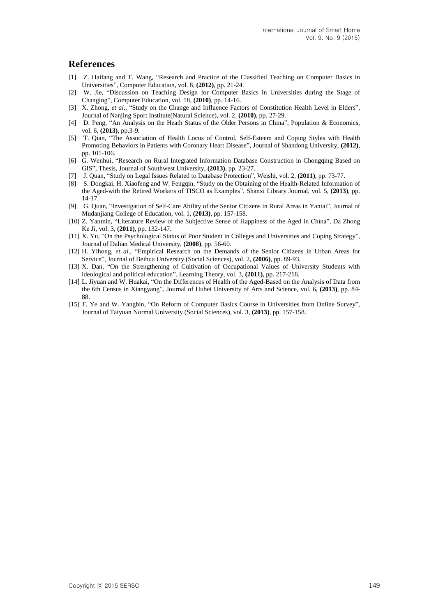## **References**

- [1] Z. Haifang and T. Wang, "Research and Practice of the Classified Teaching on Computer Basics in Universities", Computer Education, vol. 8, **(2012)**, pp. 21-24.
- [2] W. Jie, "Discussion on Teaching Design for Computer Basics in Universities during the Stage of Changing", Computer Education, vol. 18, **(2010)**, pp. 14-16.
- [3] X. Zhong, *et al*., "Study on the Change and Influence Factors of Constitution Health Level in Elders", Journal of Nanjing Sport Institute(Natural Science), vol. 2, **(2010)**, pp. 27-29.
- [4] D. Peng, "An Analysis on the Heath Status of the Older Persons in China", Population & Economics, vol. 6, **(2013)**, pp.3-9.
- [5] T. Qian, "The Association of Health Locus of Control, Self-Esteem and Coping Styles with Health Promoting Behaviors in Patients with Coronary Heart Disease", Journal of Shandong University, **(2012)**, pp. 101-106.
- [6] G. Wenhui, "Research on Rural Integrated Information Database Construction in Chongqing Based on GIS", Thesis, Journal of Southwest University, **(2013)**, pp. 23-27.
- [7] J. Quan, "Study on Legal Issues Related to Database Protection", Weishi, vol. 2, **(2011)**, pp. 73-77.
- [8] S. Dongkai, H. Xiaofeng and W. Fengqin, "Study on the Obtaining of the Health-Related Information of the Aged-with the Retired Workers of TISCO as Examples", Shanxi Library Journal, vol. 5, **(2013)**, pp. 14-17.
- [9] G. Quan, "Investigation of Self-Care Ability of the Senior Citizens in Rural Areas in Yantai", Journal of Mudanjiang College of Education, vol. 1, **(2013)**, pp. 157-158.
- [10] Z. Yanmin, "Literature Review of the Subjective Sense of Happiness of the Aged in China", Da Zhong Ke Ji, vol. 3, **(2011)**, pp. 132-147.
- [11] X. Yu, "On the Psychological Status of Poor Student in Colleges and Universities and Coping Strategy", Journal of Dalian Medical University, **(2008)**, pp. 56-60.
- [12] H. Yihong, *et al*., "Empirical Research on the Demands of the Senior Citizens in Urban Areas for Service", Journal of Beihua University (Social Sciences), vol. 2, **(2006)**, pp. 89-93.
- [13] X. Dan, "On the Strengthening of Cultivation of Occupational Values of University Students with ideological and political education", Learning Theory, vol. 3, **(2011)**, pp. 217-218.
- [14] L. Jiyuan and W. Huakai, "On the Differences of Health of the Aged-Based on the Analysis of Data from the 6th Census in Xiangyang", Journal of Hubei University of Arts and Science, vol. 6, **(2013)**, pp. 84- 88.
- [15] T. Ye and W. Yangbin, "On Reform of Computer Basics Course in Universities from Online Survey", Journal of Taiyuan Normal University (Social Sciences), vol. 3, **(2013)**, pp. 157-158.